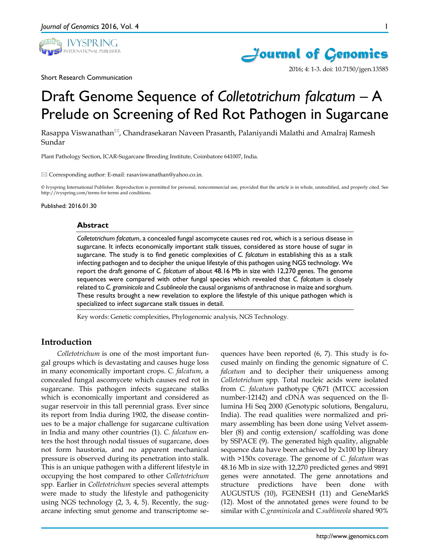



2016; 4: 1-3. doi: 10.7150/jgen.13585

1

Short Research Communication

# Draft Genome Sequence of *Colletotrichum falcatum* – A Prelude on Screening of Red Rot Pathogen in Sugarcane

Rasappa Viswanathan<sup> $\boxtimes$ </sup>, Chandrasekaran Naveen Prasanth, Palaniyandi Malathi and Amalraj Ramesh Sundar

Plant Pathology Section, ICAR-Sugarcane Breeding Institute, Coimbatore 641007, India.

 $\boxtimes$  Corresponding author: E-mail: rasaviswanathan@yahoo.co.in.

© Ivyspring International Publisher. Reproduction is permitted for personal, noncommercial use, provided that the article is in whole, unmodified, and properly cited. See http://ivyspring.com/terms for terms and conditions.

Published: 2016.01.30

#### **Abstract**

*Colletotrichum falcatum*, a concealed fungal ascomycete causes red rot, which is a serious disease in sugarcane. It infects economically important stalk tissues, considered as store house of sugar in sugarcane. The study is to find genetic complexities of *C. falcatum* in establishing this as a stalk infecting pathogen and to decipher the unique lifestyle of this pathogen using NGS technology. We report the draft genome of *C. falcatum* of about 48.16 Mb in size with 12,270 genes. The genome sequences were compared with other fungal species which revealed that *C. falcatum* is closely related to *C. graminicola* and *C.sublineola* the causal organisms of anthracnose in maize and sorghum. These results brought a new revelation to explore the lifestyle of this unique pathogen which is specialized to infect sugarcane stalk tissues in detail.

Key words: Genetic complexities, Phylogenomic analysis, NGS Technology.

# **Introduction**

*Colletotrichum* is one of the most important fungal groups which is devastating and causes huge loss in many economically important crops. *C. falcatum*, a concealed fungal ascomycete which causes red rot in sugarcane. This pathogen infects sugarcane stalks which is economically important and considered as sugar reservoir in this tall perennial grass. Ever since its report from India during 1902, the disease continues to be a major challenge for sugarcane cultivation in India and many other countries (1). *C. falcatum* enters the host through nodal tissues of sugarcane, does not form haustoria, and no apparent mechanical pressure is observed during its penetration into stalk. This is an unique pathogen with a different lifestyle in occupying the host compared to other *Colletotrichum* spp*.* Earlier in *Colletotrichum* species several attempts were made to study the lifestyle and pathogenicity using NGS technology (2, 3, 4, 5). Recently, the sugarcane infecting smut genome and transcriptome sequences have been reported (6, 7). This study is focused mainly on finding the genomic signature of *C. falcatum* and to decipher their uniqueness among *Colletotrichum* spp. Total nucleic acids were isolated from *C. falcatum* pathotype *Cf*671 (MTCC accession number-12142) and cDNA was sequenced on the Illumina Hi Seq 2000 (Genotypic solutions, Bengaluru, India). The read qualities were normalized and primary assembling has been done using Velvet assembler (8) and contig extension/ scaffolding was done by SSPACE (9). The generated high quality, alignable sequence data have been achieved by 2x100 bp library with >150x coverage. The genome of *C. falcatum* was 48.16 Mb in size with 12,270 predicted genes and 9891 genes were annotated. The gene annotations and structure predictions have been done with AUGUSTUS (10), FGENESH (11) and GeneMarkS (12). Most of the annotated genes were found to be similar with *C.graminicola* and *C.sublineola* shared 90%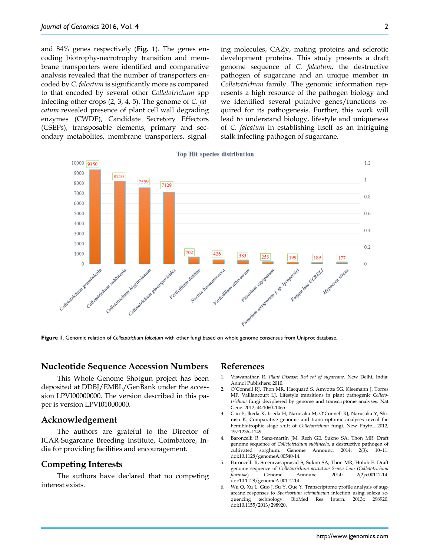and 84% genes respectively (**Fig. 1**). The genes encoding biotrophy-necrotrophy transition and membrane transporters were identified and comparative analysis revealed that the number of transporters encoded by *C. falcatum* is significantly more as compared to that encoded by several other *Colletotrichum* spp infecting other crops (2, 3, 4, 5). The genome of *C. falcatum* revealed presence of plant cell wall degrading enzymes (CWDE), Candidate Secretory Effectors (CSEPs), transposable elements, primary and secondary metabolites, membrane transporters, signaling molecules, CAZy, mating proteins and sclerotic development proteins. This study presents a draft genome sequence of *C. falcatum,* the destructive pathogen of sugarcane and an unique member in *Colletotrichum* family. The genomic information represents a high resource of the pathogen biology and we identified several putative genes/functions required for its pathogenesis. Further, this work will lead to understand biology, lifestyle and uniqueness of *C. falcatum* in establishing itself as an intriguing stalk infecting pathogen of sugarcane.



**Figure 1**. Genomic relation of *Colletotrichum falcatum* with other fungi based on whole genome consensus from Uniprot database.

#### **Nucleotide Sequence Accession Numbers**

This Whole Genome Shotgun project has been deposited at DDBJ/EMBL/GenBank under the accession LPVI00000000. The version described in this paper is version LPVI01000000.

## **Acknowledgement**

The authors are grateful to the Director of ICAR-Sugarcane Breeding Institute, Coimbatore, India for providing facilities and encouragement.

## **Competing Interests**

The authors have declared that no competing interest exists.

#### **References**

- 1. Viswanathan R. *Plant Disease: Red rot of sugarcane.* New Delhi, India: Anmol Publishers; 2010.
- 2. O'Connell RJ, Thon MR, Hacquard S, Amyotte SG, Kleemann J, Torres MF, Vaillancourt LJ. Lifestyle transitions in plant pathogenic *Colletotrichum* fungi deciphered by genome and transcriptome analyses. Nat Gene. 2012; 44:1060–1065.
- 3. Gan P, Ikeda K, Irieda H, Narusaka M, O'Connell RJ, Narusaka Y, Shirasu K. Comparative genomic and transcriptomic analyses reveal the hemibiotrophic stage shift of *Colletotrichum* fungi. New Phytol. 2012; 197:1236–1249.
- 4. Baroncelli R, Sanz-martín JM, Rech GE, Sukno SA, Thon MR. Draft genome sequence of *Colletotrichum sublineola*, a destructive pathogen of cultivated sorghum. Genome Announc. 2014; 2(3): 10–11. doi:10.1128/genomeA.00540-14.
- 5. Baroncelli R, Sreenivasaprasad S, Sukno SA, Thon MR, Holub E. Draft genome sequence of *Colletotrichum acutatum Sensu Lato* (*Colletotrichum fioriniae*). Genome Announc. 2014; 2(2):e00112-14. doi:10.1128/genomeA.00112-14.
- 6. Wu Q, Xu L, Guo J, Su Y, Que Y. Transcriptome profile analysis of sugarcane responses to *Sporisorium scitamineum* infection using solexa sequencing technology. BioMed Res Intern. 2013;: 298920. doi:10.1155/2013/298920.